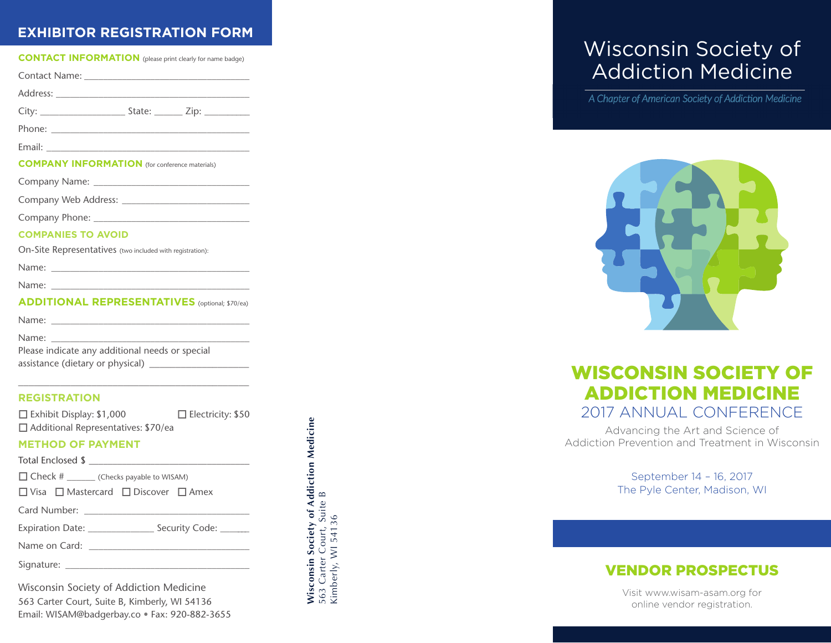## **EXHIBITOR REGISTRATION FORM**

| <b>CONTACT INFORMATION</b> (please print clearly for name badge)                  |                          |
|-----------------------------------------------------------------------------------|--------------------------|
| Contact Name: Name and Alberta Contact Name and Alberta Contact Alberta Contact A |                          |
|                                                                                   |                          |
|                                                                                   |                          |
|                                                                                   |                          |
|                                                                                   |                          |
| <b>COMPANY INFORMATION</b> (for conference materials)                             |                          |
|                                                                                   |                          |
|                                                                                   |                          |
|                                                                                   |                          |
| <b>COMPANIES TO AVOID</b>                                                         |                          |
| On-Site Representatives (two included with registration):                         |                          |
|                                                                                   |                          |
|                                                                                   |                          |
| <b>ADDITIONAL REPRESENTATIVES</b> (optional; \$70/ea)                             |                          |
|                                                                                   |                          |
| Name: Name:                                                                       |                          |
| Please indicate any additional needs or special                                   |                          |
|                                                                                   |                          |
| <b>REGISTRATION</b>                                                               |                          |
| $\Box$ Exhibit Display: \$1,000                                                   | $\Box$ Electricity: \$50 |
| □ Additional Representatives: \$70/ea                                             |                          |
| <b>METHOD OF PAYMENT</b>                                                          |                          |
|                                                                                   |                          |
| □ Check # _______ (Checks payable to WISAM)                                       |                          |
| □ Visa □ Mastercard □ Discover □ Amex                                             |                          |
|                                                                                   |                          |
| Expiration Date: _______________________ Security Code: ________                  |                          |
|                                                                                   |                          |
| Signature:                                                                        |                          |

Wisconsin Society of Addiction Medicine 563 Carter Court, Suite B, Kimberly, WI 54136 Email: WISAM@badgerbay.co • Fax: 920-882-3655 **Wisconsin Society of Addiction Medicine**

Wisconsin Society of Addiction Medicine<br>563 Carter Court, Suite B<br>Kimberly, WI 54136

563 Carter Court, Suite B Kimberly, WI 54136

# Wisconsin Society of Addiction Medicine

A Chapter of American Society of Addiction Medicine



## WISCONSIN SOCIETY OF ADDICTION MEDICINE 2017 ANNUAL CONFERENCE

Advancing the Art and Science of Addiction Prevention and Treatment in Wisconsin

> September 14 – 16, 2017 The Pyle Center, Madison, WI

### VENDOR PROSPECTUS

Visit www.wisam-asam.org for online vendor registration.